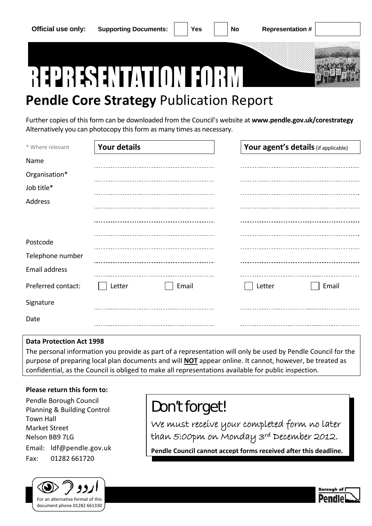

## **Pendle Core Strategy** Publication Report

Further copies of this form can be downloaded from the Council's website at www.pendle.gov.uk/corestrategy Alternatively you can photocopy this form as many times as necessary.

| * Where relevant   | <b>Your details</b> | Your agent's details (if applicable) |
|--------------------|---------------------|--------------------------------------|
| Name               |                     |                                      |
| Organisation*      |                     |                                      |
| Job title*         |                     |                                      |
| Address            |                     |                                      |
|                    |                     |                                      |
| Postcode           |                     |                                      |
| Telephone number   |                     |                                      |
| Email address      | ------------------  |                                      |
| Preferred contact: | Email<br>Letter     | Letter<br>Email                      |
| Signature          |                     |                                      |
| Date               |                     |                                      |

#### **Data Protection Act 1998**

The personal information you provide as part of a representation will only be used by Pendle Council for the purpose of preparing local plan documents and will **NOT** appear online. It cannot, however, be treated as confidential, as the Council is obliged to make all representations available for public inspection.

#### **Please return this form to:**

Pendle Borough Council Planning & Building Control Town Hall Market Street Nelson BB9 7LG Email: ldf@pendle.gov.uk Fax: 01282 661720



# Don't forget!

We must receive your completed form no later than 5:00pm on Monday 3rd December 2012.

**Pendle Council cannot accept forms received after this deadline.**

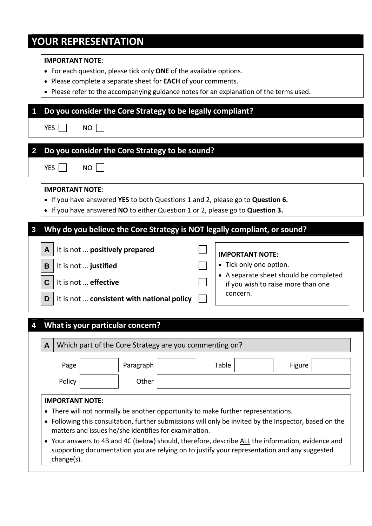## **YOUR REPRESENTATION**

#### **IMPORTANT NOTE:**

- For each question, please tick only **ONE** of the available options.
- Please complete a separate sheet for **EACH** of your comments.
- Please refer to the accompanying guidance notes for an explanation of the terms used.

YES NO

## 1 **Do you consider the Core Strategy to be legally compliant?**

## 2 **Do you consider the Core Strategy to be sound?**

|  | YES     NO |  |
|--|------------|--|
|--|------------|--|

#### **IMPORTANT NOTE:**

- If you have answered **YES** to both Questions 1 and 2, please go to **Question 6.**
- If you have answered **NO** to either Question 1 or 2, please go to **Question 3.**

### 3 **Why do you believe the Core Strategy is NOT legally compliant, or sound?**

| It is not  positively prepared<br>A        | <b>IMPORTANT NOTE:</b>                                                       |
|--------------------------------------------|------------------------------------------------------------------------------|
| It is not  justified<br>B                  | • Tick only one option.                                                      |
| It is not  effective                       | • A separate sheet should be completed<br>if you wish to raise more than one |
| It is not  consistent with national policy | concern.                                                                     |

### 4 **What is your particular concern?**

| Which part of the Core Strategy are you commenting on?<br>A                                                                                                                                                                                                                                                                                                                                                                                                             |           |                 |
|-------------------------------------------------------------------------------------------------------------------------------------------------------------------------------------------------------------------------------------------------------------------------------------------------------------------------------------------------------------------------------------------------------------------------------------------------------------------------|-----------|-----------------|
| Page                                                                                                                                                                                                                                                                                                                                                                                                                                                                    | Paragraph | Table<br>Figure |
| Policy                                                                                                                                                                                                                                                                                                                                                                                                                                                                  | Other     |                 |
| • There will not normally be another opportunity to make further representations.<br>• Following this consultation, further submissions will only be invited by the Inspector, based on the<br>matters and issues he/she identifies for examination.<br>• Your answers to 4B and 4C (below) should, therefore, describe ALL the information, evidence and<br>supporting documentation you are relying on to justify your representation and any suggested<br>change(s). |           |                 |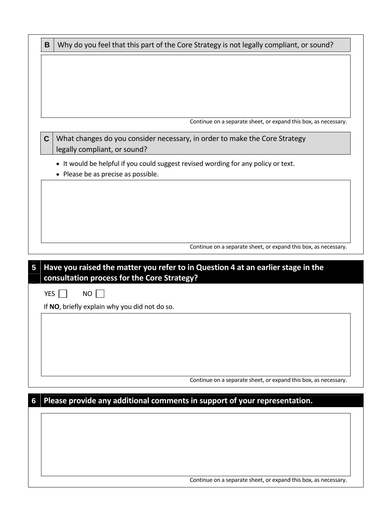| B           | Why do you feel that this part of the Core Strategy is not legally compliant, or sound? |
|-------------|-----------------------------------------------------------------------------------------|
|             |                                                                                         |
|             |                                                                                         |
|             |                                                                                         |
|             |                                                                                         |
|             |                                                                                         |
|             |                                                                                         |
|             | Continue on a separate sheet, or expand this box, as necessary.                         |
| $\mathbf C$ | What changes do you consider necessary, in order to make the Core Strategy              |
|             | legally compliant, or sound?                                                            |
|             | It would be helpful if you could suggest revised wording for any policy or text.<br>٠   |
|             | • Please be as precise as possible.                                                     |
|             |                                                                                         |
|             |                                                                                         |
|             |                                                                                         |
|             |                                                                                         |
|             |                                                                                         |
|             |                                                                                         |
|             | Continue on a separate sheet, or expand this box, as necessary.                         |
| <b>YES</b>  | consultation process for the Core Strategy?<br><b>NO</b>                                |
|             | If NO, briefly explain why you did not do so.                                           |
|             |                                                                                         |
|             |                                                                                         |
|             |                                                                                         |
|             |                                                                                         |
|             |                                                                                         |
|             |                                                                                         |
|             | Continue on a separate sheet, or expand this box, as necessary.                         |
|             | Please provide any additional comments in support of your representation.               |
|             |                                                                                         |
|             |                                                                                         |
|             |                                                                                         |
|             |                                                                                         |
|             |                                                                                         |
|             |                                                                                         |
|             |                                                                                         |
|             | Continue on a separate sheet, or expand this box, as necessary.                         |